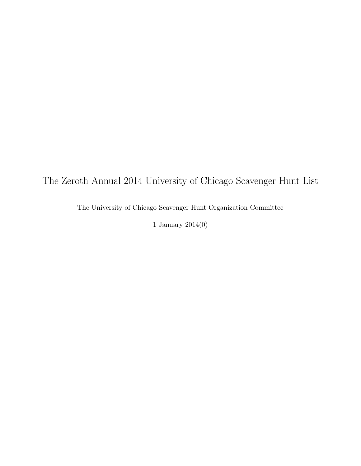# The Zeroth Annual 2014 University of Chicago Scavenger Hunt List

The University of Chicago Scavenger Hunt Organization Committee

1 January 2014(0)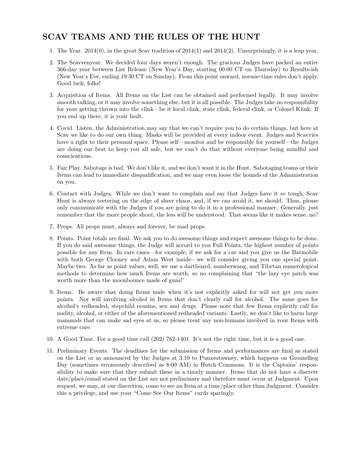# SCAV TEAMS AND THE RULES OF THE HUNT

- 1. The Year. 2014(0), in the great Scav tradition of 2014(1) and 2014(2). Unsurprisingly, it is a leap year.
- 2. The Scavvenyear. We decided four days weren't enough. The gracious Judges have packed an entire 366-day year between List Release (New Year's Day, starting 00:00 CT on Thursday) to Results-ish (New Year's Eve, ending 19:30 CT on Sunday). From this point onward, normie-time rules don't apply. Good luck, folks!
- 3. Acquisition of Items. All Items on the List can be obtained and performed legally. It may involve smooth talking, or it may involve something else, but it is all possible. The Judges take no responsibility for your getting thrown into the clink—be it local clink, state clink, federal clink, or Colonel Klink. If you end up there, it is your fault.
- 4. Covid. Listen, the Administration may say that we can't require you to do certain things, but here at Scav we like to do our own thing. Masks will be provided at every indoor event. Judges and Scavvies have a right to their personal space. Please self—monitor and be responsible for yourself—the Judges are doing our best to keep you all safe, but we can't do that without everyone being mindful and conscientious.
- 5. Fair Play. Sabotage is bad. We don't like it, and we don't want it in the Hunt. Sabotaging teams or their Items can lead to immediate disqualification, and we may even loose the hounds of the Administration on you.
- 6. Contact with Judges. While we don't want to complain and say that Judges have it so tough, Scav Hunt is always teetering on the edge of sheer chaos, and, if we can avoid it, we should. Thus, please only communicate with the Judges if you are going to do it in a professional manner. Generally, just remember that the more people shout, the less will be understood. That seems like it makes sense, no?
- 7. Props. All props must, always and forever, be mad props.
- 8. Points. Point totals are final. We ask you to do awesome things and expect awesome things to be done. If you do said awesome things, the Judge will accord to you Full Points, the highest number of points possible for any Item. In rare cases—for example, if we ask for a car and you give us the Batmobile with both George Clooney and Adam West inside—we will consider giving you one special point. Maybe two. As far as point values, well, we use a dartboard, numberwang, and Tibetan numerological methods to determine how much Items are worth, so no complaining that "the lazy eye patch was worth more than the moonbounce made of guns!"
- 9. Items. Be aware that doing Items nude when it's not explicitly asked for will not get you more points. Nor will involving alcohol in Items that don't clearly call for alcohol. The same goes for alcohol's redheaded, stepchild cousins, sex and drugs. Please note that few Items explicitly call for nudity, alcohol, or either of the aforementioned redheaded variants. Lastly, we don't like to harm large mammals that can make sad eyes at us, so please treat any non-humans involved in your Items with extreme care.
- 10. A Good Time. For a good time call (202) 762-1401. It's not the right time, but it is a good one.
- 11. Preliminary Events. The deadlines for the submission of Items and performances are final as stated on the List or as announced by the Judges at 3:10 to Punxsutawney, which happens on Groundhog Day (sometimes erroneously described as 8:00 AM) in Hutch Commons. It is the Captains' responsibility to make sure that they submit these in a timely manner. Items that do not have a discrete date/place/email stated on the List are not preliminary and therefore must occur at Judgment. Upon request, we may, at our discretion, come to see an Item at a time/place other than Judgment. Consider this a privilege, and use your "Come See Our Items" cards sparingly.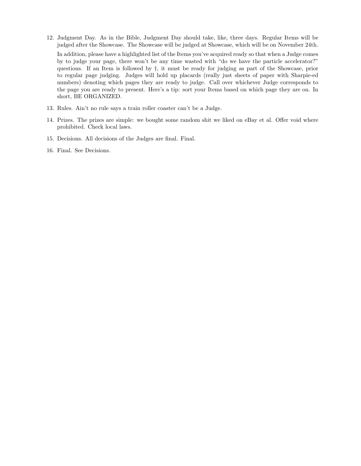- 12. Judgment Day. As in the Bible, Judgment Day should take, like, three days. Regular Items will be judged after the Showcase. The Showcase will be judged at Showcase, which will be on November 24th. In addition, please have a highlighted list of the Items you've acquired ready so that when a Judge comes by to judge your page, there won't be any time wasted with "do we have the particle accelerator?" questions. If an Item is followed by  $\dagger$ , it must be ready for judging as part of the Showcase, prior to regular page judging. Judges will hold up placards (really just sheets of paper with Sharpie-ed numbers) denoting which pages they are ready to judge. Call over whichever Judge corresponds to the page you are ready to present. Here's a tip: sort your Items based on which page they are on. In short, BE ORGANIZED.
- 13. Rules. Ain't no rule says a train roller coaster can't be a Judge.
- 14. Prizes. The prizes are simple: we bought some random shit we liked on eBay et al. Offer void where prohibited. Check local laws.
- 15. Decisions. All decisions of the Judges are final. Final.
- 16. Final. See Decisions.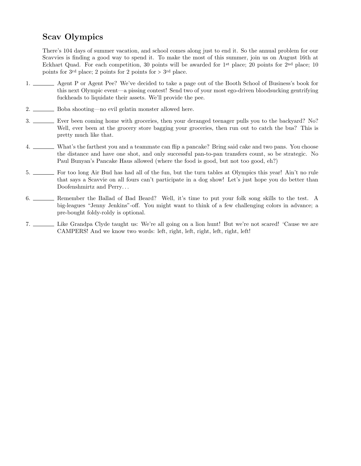## Scav Olympics

There's 104 days of summer vacation, and school comes along just to end it. So the annual problem for our Scavvies is finding a good way to spend it. To make the most of this summer, join us on August 16th at Eckhart Quad. For each competition, 30 points will be awarded for 1<sup>st</sup> place; 20 points for 2<sup>nd</sup> place; 10 points for  $3^{\text{rd}}$  place; 2 points for  $2$  points for  $> 3^{\text{rd}}$  place.

- 1. Agent P or Agent Pee? We've decided to take a page out of the Booth School of Business's book for this next Olympic event—a pissing contest! Send two of your most ego-driven bloodsucking gentrifying fuckheads to liquidate their assets. We'll provide the pee.
- 2. Boba shooting—no evil gelatin monster allowed here.
- 3. Ever been coming home with groceries, then your deranged teenager pulls you to the backyard? No? Well, ever been at the grocery store bagging your groceries, then run out to catch the bus? This is pretty much like that.
- 4. What's the farthest you and a teammate can flip a pancake? Bring said cake and two pans. You choose the distance and have one shot, and only successful pan-to-pan transfers count, so be strategic. No Paul Bunyan's Pancake Haus allowed (where the food is good, but not too good, eh?)
- 5. For too long Air Bud has had all of the fun, but the turn tables at Olympics this year! Ain't no rule that says a Scavvie on all fours can't participate in a dog show! Let's just hope you do better than Doofenshmirtz and Perry. . .
- 6. Remember the Ballad of Bad Beard? Well, it's time to put your folk song skills to the test. A big-leagues "Jenny Jenkins"-off. You might want to think of a few challenging colors in advance; a pre-bought foldy-roldy is optional.
- 7. Like Grandpa Clyde taught us: We're all going on a lion hunt! But we're not scared! 'Cause we are CAMPERS! And we know two words: left, right, left, right, left, right, left!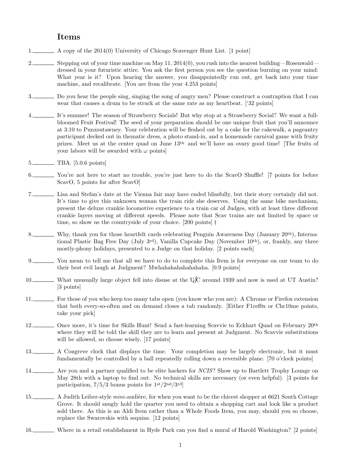## Items

- 1. A copy of the 2014(0) University of Chicago Scavenger Hunt List. [1 point]
- 2. Stepping out of your time machine on May 11, 2014(0), you rush into the nearest building—Rosenwald dressed in your futuristic attire. You ask the first person you see the question burning on your mind: What year is it? Upon hearing the answer, you disappointedly run out, get back into your time machine, and recalibrate. [You are from the year 4.253 points]
- 3. Do you hear the people sing, singing the song of angry men? Please construct a contraption that I can wear that causes a drum to be struck at the same rate as my heartbeat. ['32 points]
- 4. It's summer! The season of Strawberry Socials! But why stop at a Strawberry Social? We want a fullbloomed Fruit Festival! The seed of your preparation should be one unique fruit that you'll announce at 3:10 to Punxsutawney. Your celebration will be fleshed out by a cake for the cakewalk, a pageantry participant decked out in thematic dress, a photo stand-in, and a homemade carnival game with fruity prizes. Meet us at the center quad on June 13th and we'll have an ovary good time! [The fruits of your labors will be awarded with  $\omega$  points
- 5. TBA. [5.0.6 points]
- 6. You're not here to start no trouble, you're just here to do the ScavO Shuffle! [7 points for before ScavO, 5 points for after ScavO]
- 7. Lisa and Stefan's date at the Vienna fair may have ended blissfully, but their story certainly did not. It's time to give this unknown woman the train ride she deserves. Using the same bike mechanism, present the deluxe crankie locomotive experience to a train car of Judges, with at least three different crankie layers moving at different speeds. Please note that Scav trains are not limited by space or time, so show us the countryside of your choice.  $[200 \text{ points}]$   $\dagger$
- 8. Why, thank you for those heartfelt cards celebrating Penguin Awareness Day (January 20th), International Plastic Bag Free Day (July 3rd), Vanilla Cupcake Day (November 10th), or, frankly, any three mostly-phony holidays, presented to a Judge on that holiday. [2 points each]
- 9. You mean to tell me that all we have to do to complete this Item is for everyone on our team to do their best evil laugh at Judgment? Mwhahahahahahahaha. [0.9 points]
- 10. What unusually large object fell into disuse at the UCC around 1939 and now is used at UT Austin? [3 points]
- 11. For those of you who keep too many tabs open (you know who you are): A Chrome or Firefox extension that both every-so-often and on demand closes a tab randomly. [Either F1ref0x or Chr10me points, take your pick]
- 12. Once more, it's time for Skills Hunt! Send a fast-learning Scavvie to Eckhart Quad on February 20<sup>th</sup> where they will be told the skill they are to learn and present at Judgment. No Scavvie substitutions will be allowed, so choose wisely. [17 points]
- 13. A Congreve clock that displays the time. Your completion may be largely electronic, but it must fundamentally be controlled by a ball repeatedly rolling down a reversible plane. [70 o'clock points]
- 14. Are you and a partner qualified to be elite hackers for NCIS? Show up to Bartlett Trophy Lounge on May 28th with a laptop to find out. No technical skills are necessary (or even helpful). [3 points for participation, 7/5/3 bonus points for 1st/2nd/3rd]
- 15. A Judith Leiber-style mini-audière, for when you want to be the chicest shopper at 6621 South Cottage Grove. It should snugly hold the quarter you need to obtain a shopping cart and look like a product sold there. As this is an Aldi Item rather than a Whole Foods Item, you may, should you so choose, replace the Swarovskis with sequins. [12 points]
- 16. Where in a retail establishment in Hyde Park can you find a mural of Harold Washington? [2 points]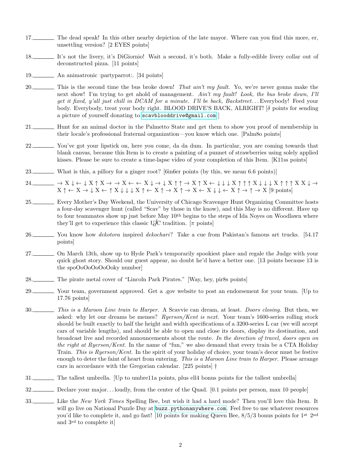- 17. The dead speak! In this other nearby depiction of the late mayor. Where can you find this more, er, unsettling version? [2 EYES points]
- 18. It's not the livery, it's DiGiornio! Wait a second, it's both. Make a fully-edible livery collar out of deconstructed pizza. [11 points]
- 19. An animatronic :partyparrot:. [34 points]
- 20. This is the second time the bus broke down! That ain't my fault. Yo, we're never gonna make the next show! I'm trying to get ahold of management. Ain't my fault! Look, the bus broke down, I'll get it fixed, y'all just chill in DCAM for a minute. I'll be back, Backstreet. . . Everybody! Feed your body. Everybody, treat your body right. BLOOD DRIVE'S BACK, ALRIGHT! [δ points for sending a picture of yourself donating to <scavblooddrive@gmail.com> ]
- 21. Hunt for an animal doctor in the Palmetto State and get them to show you proof of membership in their locale's professional fraternal organization—you know which one. [Palm8o points]
- 22. You've got your lipstick on, here you come, da da dum. In particular, you are coming towards that blank canvas, because this Item is to create a painting of a punnet of strawberries using solely applied kisses. Please be sure to create a time-lapse video of your completion of this Item. [K11ss points]
- 23. What is this, a pillory for a ginger root? [6in6er points (by this, we mean 6.6 points)]
- $24.$   $\begin{array}{c} \Delta 24. \ \begin{array}{c} \Delta \end{array} \longrightarrow X \downarrow \leftarrow \downarrow X \uparrow X \rightarrow X \leftarrow \leftarrow X \downarrow \rightarrow \downarrow X \uparrow \uparrow \rightarrow X \uparrow X \leftarrow \downarrow \downarrow X \uparrow \uparrow \uparrow X \downarrow \downarrow X \uparrow \uparrow \uparrow X \, X \downarrow \rightarrow \end{array}$  $X \uparrow \leftarrow X \rightarrow \downarrow X \leftarrow \uparrow X \downarrow \downarrow \downarrow X \uparrow \leftarrow X \uparrow \rightarrow X \uparrow \rightarrow X \leftarrow X \downarrow \downarrow \leftarrow X \uparrow \rightarrow \uparrow \rightarrow X$  [9 points]
- 25. Every Mother's Day Weekend, the University of Chicago Scavenger Hunt Organizing Committee hosts a four-day scavenger hunt (called "Scav" by those in the know), and this May is no different. Have up to four teammates show up just before May  $10<sup>th</sup>$  begins to the steps of Ida Noyes on Woodlawn where they'll get to experience this classic U<sub>0</sub>C tradition.  $[\pi$  points]
- 26. You know how *dekotora* inspired *dekochari*? Take a cue from Pakistan's famous art trucks. [54.17] points]
- 27. On March 13th, show up to Hyde Park's temporarily spookiest place and regale the Judge with your quick ghost story. Should our guest appear, no doubt he'd have a better one. [13 points because 13 is the spoOoOoOoOoOoky number]
- 28. The pirate metal cover of "Lincoln Park Pirates." [Way, hey, pir8s points]
- 29. Your team, government approved. Get a .gov website to post an endorsement for your team. [Up to 17.76 points]
- 30. This is a Maroon Line train to Harper. A Scavvie can dream, at least. Doors closing. But then, we asked: why let our dreams be memes? Ryerson/Kent is next. Your team's 1600-series rolling stock should be built exactly to half the height and width specifications of a 3200-series L car (we will accept cars of variable lengths), and should be able to open and close its doors, display its destination, and broadcast live and recorded announcements about the route. In the direction of travel, doors open on the right at Ryerson/Kent. In the name of "fun," we also demand that every train be a CTA Holiday Train. This is Ryerson/Kent. In the spirit of your holiday of choice, your team's decor must be festive enough to deter the faint of heart from entering. This is a Maroon Line train to Harper. Please arrange cars in accordance with the Gregorian calendar. [225 points]  $\dagger$
- 31. The tallest umbrella. [Up to umbre11a points, plus ell4 bonus points for the tallest umbrella]
- 32. Declare your major... loudly, from the center of the Quad. [0.1 points per person, max 10 people]
- 33. Like the New York Times Spelling Bee, but wish it had a hard mode? Then you'll love this Item. It will go live on National Puzzle Day at <buzz.pythonanywhere.com>. Feel free to use whatever resources you'd like to complete it, and go fast! [10 points for making Queen Bee, 8/5/3 bonus points for 1st 2nd and 3rd to complete it]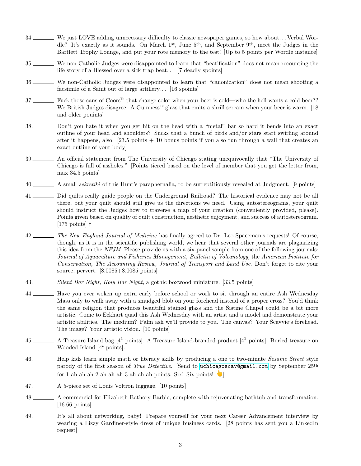- 34. We just LOVE adding unnecessary difficulty to classic newspaper games, so how about. . . Verbal Wordle? It's exactly as it sounds. On March 1st, June 5th, and September 9th, meet the Judges in the Bartlett Trophy Lounge, and put your rote memory to the test! [Up to 5 points per Wordle instance]
- 35. We non-Catholic Judges were disappointed to learn that "beatification" does not mean recounting the life story of a Blessed over a sick trap beat... [7 deadly spoints]
- 36. We non-Catholic Judges were disappointed to learn that "canonization" does not mean shooting a facsimile of a Saint out of large artillery... [16 spoints]
- 37. Fuck those cans of Coors<sup>™</sup> that change color when your beer is cold—who the hell wants a cold beer?? We British Judges disagree. A Guinness<sup> $M$ </sup> glass that emits a shrill scream when your beer is warm. [18] and older pouints]
- 38. Don't you hate it when you get hit on the head with a "metal" bar so hard it bends into an exact outline of your head and shoulders? Sucks that a bunch of birds and/or stars start swirling around after it happens, also.  $[23.5 \text{ points} + 10 \text{ bonus points if you also run through a wall that creates an$ exact outline of your body]
- 39. An official statement from The University of Chicago stating unequivocally that "The University of Chicago is full of assholes." [Points tiered based on the level of member that you get the letter from, max 34.5 points]
- 40. A small *sekretiki* of this Hunt's paraphernalia, to be surreptitiously revealed at Judgment. [9 points]
- 41. Did quilts really guide people on the Underground Railroad? The historical evidence may not be all there, but your quilt should still give us the directions we need. Using autostereograms, your quilt should instruct the Judges how to traverse a map of your creation (conveniently provided, please). Points given based on quality of quilt construction, aesthetic enjoyment, and success of autostereogram.  $[175 \text{ points}]$   $\dagger$
- 42. The New England Journal of Medicine has finally agreed to Dr. Leo Spaceman's requests! Of course, though, as it is in the scientific publishing world, we hear that several other journals are plagiarizing this idea from the NEJM. Please provide us with a six-panel sample from one of the following journals: Journal of Aquaculture and Fisheries Management, Bulletin of Volcanology, the American Institute for Conservation, The Accounting Review, Journal of Transport and Land Use. Don't forget to cite your source, pervert. [8.0085+8.0085 points]
- 43. Silent Bar Night, Holy Bar Night, a gothic boxwood miniature. [33.5 points]
- 44. Have you ever woken up extra early before school or work to sit through an entire Ash Wednesday Mass only to walk away with a smudged blob on your forehead instead of a proper cross? You'd think the same religion that produces beautiful stained glass and the Sistine Chapel could be a bit more artistic. Come to Eckhart quad this Ash Wednesday with an artist and a model and demonstrate your artistic abilities. The medium? Palm ash we'll provide to you. The canvas? Your Scavvie's forehead. The image? Your artistic vision. [10 points]
- 45. A Treasure Island bag [4<sup>1</sup> points]. A Treasure Island-branded product [4<sup>2</sup> points]. Buried treasure on Wooded Island  $[4^{\iota}$  points].
- 46. Help kids learn simple math or literacy skills by producing a one to two-minute Sesame Street style parody of the first season of True Detective. [Send to <uchicagoscav@gmail.com> by September 25<sup>th</sup> for 1 ah ah  $2$  ah ah  $3$  ah ah ah points. Six! Six points!
- 47. A 5-piece set of Louis Voltron luggage. [10 points]
- 48. A commercial for Elizabeth Bathory Barbie, complete with rejuvenating bathtub and transformation. [16.66 points]
- 49. It's all about networking, baby! Prepare yourself for your next Career Advancement interview by wearing a Lizzy Gardiner-style dress of unique business cards. [28 points has sent you a LinkedIn request]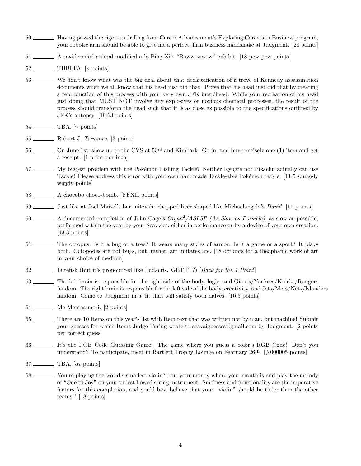- 50. Having passed the rigorous drilling from Career Advancement's Exploring Careers in Business program, your robotic arm should be able to give me a perfect, firm business handshake at Judgment. [28 points]
- 51. A taxidermied animal modified a la Ping Xi's "Bowwowwow" exhibit. [18 pew-pew-points]
- $52$ . TBBFFA.  $[\rho \text{ points}]$
- 53. We don't know what was the big deal about that declassification of a trove of Kennedy assassination documents when we all know that his head just did that. Prove that his head just did that by creating a reproduction of this process with your very own JFK bust/head. While your recreation of his head just doing that MUST NOT involve any explosives or noxious chemical processes, the result of the process should transform the head such that it is as close as possible to the specifications outlined by JFK's autopsy. [19.63 points]
- $54.$  TBA. [ $\gamma$  points]
- 55. Robert J. Tzimmes. [3 points]
- 56. On June 1st, show up to the CVS at 53rd and Kimbark. Go in, and buy precisely one (1) item and get a receipt. [1 point per inch]
- 57. My biggest problem with the Pokémon Fishing Tackle? Neither Kyogre nor Pikachu actually can use Tackle! Please address this error with your own handmade Tackle-able Pokémon tackle. [11.5 squiggly wiggly points]
- 58. A chocobo choco-bomb. [FFXII points]
- 59. Just like at Joel Maisel's bar mitzvah: chopped liver shaped like Michaelangelo's *David.* [11 points]
- 60. A documented completion of John Cage's *Organ<sup>2</sup>/ASLSP* (As Slow as Possible), as slow as possible, performed within the year by your Scavvies, either in performance or by a device of your own creation. [43.3 points]
- 61. The octopus. Is it a bug or a tree? It wears many styles of armor. Is it a game or a sport? It plays both. Octopodes are not bugs, but, rather, art imitates life. [18 octoints for a theophanic work of art in your choice of medium]
- 62. Lutefisk (but it's pronounced like Ludacris. GET IT?) [Back for the 1 Point]
- 63. The left brain is responsible for the right side of the body, logic, and Giants/Yankees/Knicks/Rangers fandom. The right brain is responsible for the left side of the body, creativity, and Jets/Mets/Nets/Islanders fandom. Come to Judgment in a 'fit that will satisfy both halves. [10.5 points]
- 64. Me-Mentos mori. [2 points]
- 65. There are 10 Items on this year's list with Item text that was written not by man, but machine! Submit your guesses for which Items Judge Turing wrote to scavaiguesses@gmail.com by Judgment. [2 points per correct guess]
- 66. It's the RGB Code Guessing Game! The game where you guess a color's RGB Code! Don't you understand? To participate, meet in Bartlett Trophy Lounge on February 26<sup>th</sup>. [#000005 points]
- 67. TBA.  $[\alpha \iota \text{ points}]$
- 68. You're playing the world's smallest violin? Put your money where your mouth is and play the melody of "Ode to Joy" on your tiniest bowed string instrument. Smolness and functionality are the imperative factors for this completion, and you'd best believe that your "violin" should be tinier than the other teams'! [18 points]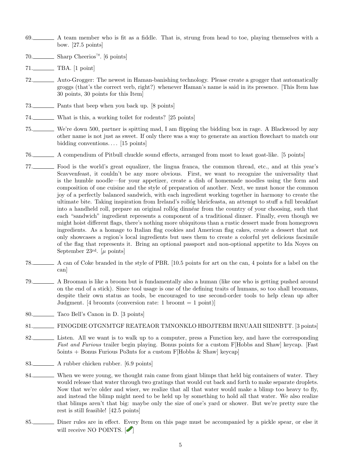- 69. A team member who is fit as a fiddle. That is, strung from head to toe, playing themselves with a bow. [27.5 points]
- 70. Sharp Cheerios<sup>™</sup>. [6 points]
- 71. TBA. [1 point]
- 72. Auto-Grogger: The newest in Haman-banishing technology. Please create a grogger that automatically groggs (that's the correct verb, right?) whenever Haman's name is said in its presence. [This Item has 30 points, 30 points for this Item]
- 73. Pants that beep when you back up. [8 points]
- 74. What is this, a working toilet for rodents? [25 points]
- 75. We're down 500, partner is spitting mad, I am flipping the bidding box in rage. A Blackwood by any other name is not just as sweet. If only there was a way to generate an auction flowchart to match our bidding conventions.... [15 points]
- 76. A compendium of Pitbull chuckle sound effects, arranged from most to least goat-like. [5 points]
- 77. Food is the world's great equalizer, the lingua franca, the common thread, etc., and at this year's Scavvenfeast, it couldn't be any more obvious. First, we want to recognize the universality that is the humble noodle—for your appetizer, create a dish of homemade noodles using the form and composition of one cuisine and the style of preparation of another. Next, we must honor the common joy of a perfectly balanced sandwich, with each ingredient working together in harmony to create the ultimate bite. Taking inspiration from Ireland's rollog bhricfeasta, an attempt to stuff a full breakfast into a handheld roll, prepare an original rollog dinnéar from the country of your choosing, such that each "sandwich" ingredient represents a component of a traditional dinner. Finally, even though we might hoist different flags, there's nothing more ubiquitous than a rustic dessert made from homegrown ingredients. As a homage to Italian flag cookies and American flag cakes, create a dessert that not only showcases a region's local ingredients but uses them to create a colorful yet delicious facsimile of the flag that represents it. Bring an optional passport and non-optional appetite to Ida Noyes on September  $23^{\text{rd}}$ . [ $\mu$  points]
- 78. A can of Coke branded in the style of PBR. [10.5 points for art on the can, 4 points for a label on the can]
- 79. A Brooman is like a broom but is fundamentally also a human (like one who is getting pushed around on the end of a stick). Since tool usage is one of the defining traits of humans, so too shall broomans, despite their own status as tools, be encouraged to use second-order tools to help clean up after Judgment. [4 broomts (conversion rate: 1 broomt  $= 1$  point)]
- 80. Taco Bell's Canon in D. [3 points]

81. FINOGDIE OTGNMTGF REATEAOR TMNONKLO HBOJTEBM IRNUAAII SIIDNBTT. [3 points]

- 82. Listen. All we want is to walk up to a computer, press a Function key, and have the corresponding Fast and Furious trailer begin playing. Bonus points for a custom F[Hobbs and Shaw] keycap. [Fast 5oints + Bonus Furious Po3nts for a custom F[Hobbs & Shaw] keycap]
- 83. A rubber chicken rubber. [6.9 points]
- 84. When we were young, we thought rain came from giant blimps that held big containers of water. They would release that water through two gratings that would cut back and forth to make separate droplets. Now that we're older and wiser, we realize that all that water would make a blimp too heavy to fly, and instead the blimp might need to be held up by something to hold all that water. We also realize that blimps aren't that big: maybe only the size of one's yard or shower. But we're pretty sure the rest is still feasible! [42.5 points]
- 85. Diner rules are in effect. Every Item on this page must be accompanied by a pickle spear, or else it will receive NO POINTS.  $[$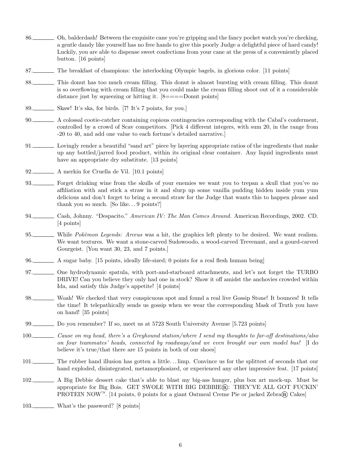- 86. Oh, balderdash! Between the exquisite cane you're gripping and the fancy pocket watch you're checking, a gentle dandy like yourself has no free hands to give this poorly Judge a delightful piece of hard candy! Luckily, you are able to dispense sweet confections from your cane at the press of a conveniently placed button. [16 points]
- 87. The breakfast of champions: the interlocking Olympic bagels, in glorious color. [11 points]
- 88. This donut has too much cream filling. This donut is almost bursting with cream filling. This donut is so overflowing with cream filling that you could make the cream filling shoot out of it a considerable distance just by squeezing or hitting it.  $[8 == == +$ Donut points]
- 89. Skaw! It's ska, for birds. [7! It's 7 points, for you.]
- 90. A colossal cootie-catcher containing copious contingencies corresponding with the Cabal's conferment, controlled by a crowd of Scav competitors. [Pick 4 different integers, with sum 20, in the range from -20 to 40, and add one value to each fortune's detailed narrative.]
- 91. Lovingly render a beautiful "sand art" piece by layering appropriate ratios of the ingredients that make up any bottled/jarred food product, within its original clear container. Any liquid ingredients must have an appropriate dry substitute. [13 points]
- 92. A merkin for Cruella de Vil. [10.1 points]
- 93. Forget drinking wine from the skulls of your enemies we want you to trepan a skull that you've no affiliation with and stick a straw in it and slurp up some vanilla pudding hidden inside yum yum delicious and don't forget to bring a second straw for the Judge that wants this to happen please and thank you so much. [So like. . . 9 points?]
- 94. Cash, Johnny. "Despacito." American IV: The Man Comes Around. American Recordings, 2002. CD. [4 points]
- 95. While Pokèmon Legends: Arceus was a hit, the graphics left plenty to be desired. We want realism. We want textures. We want a stone-carved Sudowoodo, a wood-carved Trevenant, and a gourd-carved Gourgeist. [You want 30, 23, and 7 points.]
- 96. A sugar baby. [15 points, ideally life-sized; 0 points for a real flesh human being]
- 97. One hydrodynamic spatula, with port-and-starboard attachments, and let's not forget the TURBO DRIVE! Can you believe they only had one in stock? Show it off amidst the anchovies crowded within Ida, and satisfy this Judge's appetite! [4 points]
- 98. Woah! We checked that very conspicuous spot and found a real live Gossip Stone! It bounces! It tells the time! It telepathically sends us gossip when we wear the corresponding Mask of Truth you have on hand! [35 points]
- 99. Do you remember? If so, meet us at 5723 South University Avenue [5.723 points]
- 100. Cause on my head, there's a Greyhound station/where I send my thoughts to far-off destinations/also on four teammates' heads, connected by roadways/and we even brought our own model bus! [I do believe it's true/that there are 15 points in both of our shoes]
- 101. The rubber hand illusion has gotten a little. . . limp. Convince us for the splittest of seconds that our hand exploded, disintegrated, metamorphosized, or experienced any other impressive feat. [17 points]
- 102. A Big Debbie dessert cake that's able to blast my big-ass hunger, plus box art mock-up. Must be appropriate for Big Bois. GET SWOLE WITH BIG DEBBIE®: THEY'VE ALL GOT FUCKIN' PROTEIN NOW<sup>™</sup>. [14 points, 0 points for a giant Oatmeal Creme Pie or jacked Zebra® Cakes]
- 103. What's the password? [8 points]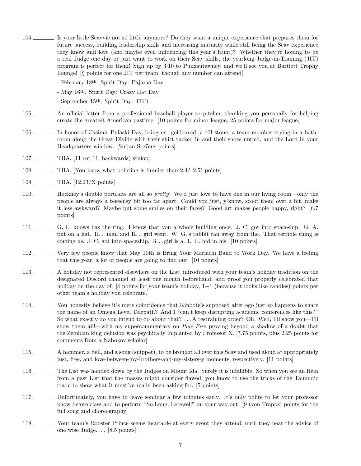- 104. Is your little Scavvie not so little anymore? Do they want a unique experience that prepares them for future success, building leadership skills and increasing maturity while still being the Scav experience they know and love (and maybe even influencing this year's Hunt)? Whether they're hoping to be a real Judge one day or just want to work on their Scav skills, the yearlong Judge-in-Training (JIT) program is perfect for them! Sign up by 3:10 to Punxsutawney, and we'll see you at Bartlett Trophy Lounge!  $[\xi]$  points for one JIT per team, though any number can attend
	- February 18th. Spirit Day: Pajama Day
	- May 16th. Spirit Day: Crazy Hat Day
	- September 15th. Spirit Day: TBD
- 105. An official letter from a professional baseball player or pitcher, thanking you personally for helping create the greatest American pastime. [10 points for minor league, 25 points for major league.]
- 106. In honor of Casimir Pulaski Day, bring us: goldenrod, a 4H stone, a team member crying in a bathroom along the Great Divide with their shirt tucked in and their shoes untied, and the Lord in your Headquarters window. [Sufjan Ste7ens points]
- 107. TBA. [11 (or 11, backwards) stniop]
- 108. TBA. [You know what pointing is funnier than 2.4? 2.5! points]
- 109. TBA. [12.23/X points]
- 110. Hockney's double portraits are all so pretty! We'd just love to have one in our living room—only the people are always a teeeensy bit too far apart. Could you just, y'know, scoot them over a bit, make it less awkward? Maybe put some smiles on their faces? Good art makes people happy, right? [6.7 points]
- 111. G. L. knows has the ring. I know that you a whole building once. J. C. got into spaceship. G. A. put on a hat. H... man and H... girl went. W. G.'s rabbit ran away from the. That terrible thing is coming us. J. C. got into spaceship. B...girl is a. L. L. hid in his. [10 points]
- 112. Very few people know that May 10th is Bring Your Mariachi Band to Work Day. We have a feeling that this year, a lot of people are going to find out. [10 points]
- 113. A holiday not represented elsewhere on the List, introduced with your team's holiday tradition on the designated Discord channel at least one month beforehand, and proof you properly celebrated that holiday on the day of.  $[4 \text{ points for your team's holiday}, 1+1 \text{ (because it looks like candies)} \text{ points per}$ other team's holiday you celebrate.]
- 114. You honestly believe it's mere coincidence that Kinbote's supposed alter ego just so happens to share the name of an Omega Level Telepath? And I "can't keep disrupting academic conferences like this?" So what exactly do you intend to do about that? . . . A restraining order? Oh. Well, I'll show you—I'll show them all!—with my supercommentary on *Pale Fire* proving beyond a shadow of a doubt that the Zemblan king delusion was psychically implanted by Professor X. [7.75 points, plus 2.25 points for comments from a Nabokov scholar]
- 115. A hammer, a bell, and a song (snippet), to be brought all over this Scav and used aloud at appropriately just, free, and love-between-my-brothers-and-my-sisters-y moments, respectively. [11 points]
- 116. The List was handed down by the Judges on Mount Ida. Surely it is infallible. So when you see an Item from a past List that the masses might consider flawed, you know to use the tricks of the Talmudic trade to show what it must've really been asking for. [5 points]
- 117. Unfortunately, you have to leave seminar a few minutes early. It's only polite to let your professor know before class and to perform "So Long, Farewell" on your way out. [9 (von Trapps) points for the full song and choreography]
- 118. Your team's Rooster Prince seems incurable at every event they attend, until they hear the advice of one wise Judge. . . . [8.5 points]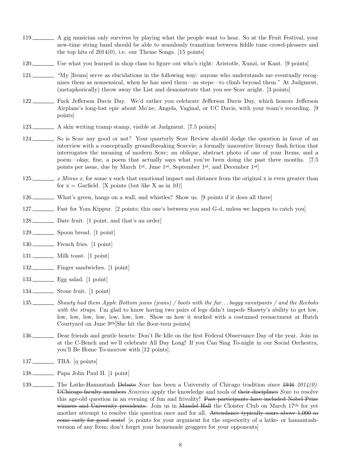- 119. A gig musician only survives by playing what the people want to hear. So at the Fruit Festival, your new-time string band should be able to seamlessly transition between fiddle tune crowd-pleasers and the top hits of 2014(0), i.e. our Theme Songs. [15 points]
- 120. Use what you learned in shop class to figure out who's right: Aristotle, Xunzi, or Kant. [9 points]
- 121. "My [Items] serve as elucidations in the following way: anyone who understands me eventually recognizes them as nonsensical, when he has used them—as steps—to climb beyond them." At Judgment, (metaphorically) throw away the List and demonstrate that you see Scav aright. [3 points]
- 122. Fuck Jefferson Davis Day. We'd rather you celebrate Jefferson Davis Day, which honors Jefferson Airplane's long-lost epic about Mo'ne, Angela, Vaginal, or UC Davis, with your team's recording. [9 points]
- 123. A skin writing tramp stamp, visible at Judgment. [7.5 points]
- 124. So is Scav any good or not? Your quarterly Scav Review should dodge the question in favor of an interview with a conceptually groundbreaking Scavvie; a formally innovative literary flash fiction that interrogates the meaning of modern Scav; an oblique, abstract photo of one of your Items, and a poem—okay, fine, a poem that actually says what you've been doing the past three months. [7.5 points per issue, due by March 1st, June 1st, September 1st, and December 1st]
- 125.  $\ldots$  *x Minus x*, for some x such that emotional impact and distance from the original x is even greater than for  $x =$  Garfield. [X points (but like X as in 10)]
- 126. What's green, hangs on a wall, and whistles? Show us. [9 points if it does all three]
- 127. Fast for Yom Kippur. [2 points; this one's between you and G-d, unless we happen to catch you]
- 128. Date fruit. [1 point, and that's an order]
- 129. Spoon bread. [1 point]
- 130. French fries. [1 point]
- 131. Milk toast. [1 point]
- 132. Finger sandwiches. [1 point]
- 133. Egg salad. [1 point]
- 134. Stone fruit. [1 point]
- 135. Shawty had them Apple Bottom jeans (jeans) / boots with the fur. . . baggy sweatpants / and the Reeboks with the straps. I'm glad to know having two pairs of legs didn't impede Shawty's ability to get low, low, low, low, low, low, low, low. Show us how it worked with a costumed reenactment at Hutch Courtyard on June 9<sup>th</sup> She hit the floor-teen points
- 136. Dear friends and gentle hearts: Don't Be Idle on the first Federal Observance Day of the year. Join us at the C-Bench and we'll celebrate All Day Long! If you Can Sing To-night in our Social Orchestra, you'll Be Home To-morrow with [12 points].
- 137. TBA.  $[\eta \text{ points}]$
- 138. Papa John Paul II. [1 point]
- 139. The Latke-Hamantash Debate Scav has been a University of Chicago tradition since  $\frac{1946}{2014(0)}$ . UChicago faculty members Scavvies apply the knowledge and tools of their disciplines Scav to resolve this age-old question in an evening of fun and frivolity! Past participants have included Nobel Prize winners and University presidents. Join us in Mandel Hall the Cloister Club on March 17<sup>th</sup> for yet another attempt to resolve this question once and for all. Attendance typically soars above 1,000 so come early for good seats!  $\kappa$  points for your argument for the superiority of a latke- or hamantashversion of any Item; don't forget your homemade groggers for your opponents]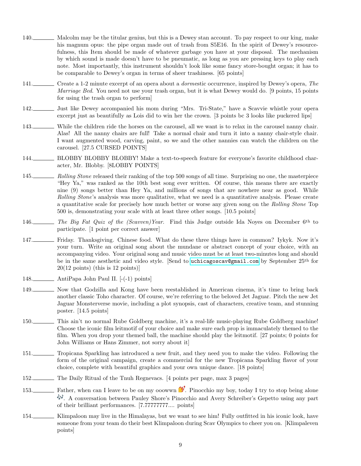- 140. Malcolm may be the titular genius, but this is a Dewey stan account. To pay respect to our king, make his magnum opus: the pipe organ made out of trash from S5E16. In the spirit of Dewey's resourcefulness, this Item should be made of whatever garbage you have at your disposal. The mechanism by which sound is made doesn't have to be pneumatic, as long as you are pressing keys to play each note. Most importantly, this instrument shouldn't look like some fancy store-bought organ; it has to be comparable to Dewey's organ in terms of sheer trashiness. [65 points]
- 141. Create a 1-2 minute excerpt of an opera about a *dormestic* occurrence, inspired by Dewey's opera, The Marriage Bed. You need not use your trash organ, but it is what Dewey would do. [9 points, 15 points for using the trash organ to perform]
- 142. Just like Dewey accompanied his mom during "Mrs. Tri-State," have a Scavvie whistle your opera excerpt just as beautifully as Lois did to win her the crown. [3 points bc 3 looks like puckered lips]
- 143. While the children ride the horses on the carousel, all we want is to relax in the carousel nanny chair. Alas! All the nanny chairs are full! Take a normal chair and turn it into a nanny chair-style chair. I want augmented wood, carving, paint, so we and the other nannies can watch the children on the carousel. [27.5 CURSED POINTS]
- 144. BLOBBY BLOBBY BLOBBY! Make a text-to-speech feature for everyone's favorite childhood character, Mr. Blobby. [8LOBBY POINTS]
- 145. Rolling Stone released their ranking of the top 500 songs of all time. Surprising no one, the masterpiece "Hey Ya," was ranked as the 10th best song ever written. Of course, this means there are exactly nine (9) songs better than Hey Ya, and millions of songs that are nowhere near as good. While Rolling Stone's analysis was more qualitative, what we need is a quantitative analysis. Please create a quantitative scale for precisely how much better or worse any given song on the Rolling Stone Top 500 is, demonstrating your scale with at least three other songs. [10.5 points]
- 146. The Big Fat Quiz of the (Scavven)Year. Find this Judge outside Ida Noves on December 6<sup>th</sup> to participate. [1 point per correct answer]
- 147. Friday. Thanksgiving. Chinese food. What do these three things have in common? Iykyk. Now it's your turn. Write an original song about the mundane or abstract concept of your choice, with an accompanying video. Your original song and music video must be at least two-minutes long and should be in the same aesthetic and video style. [Send to <uchicagoscav@gmail.com> by September 25th for 20(12 points) (this is 12 points)]
- 148. AntiPapa John Paul II. [-(-1) points]
- 149. Now that Godzilla and Kong have been reestablished in American cinema, it's time to bring back another classic Toho character. Of course, we're referring to the beloved Jet Jaguar. Pitch the new Jet Jaguar Monsterverse movie, including a plot synopsis, cast of characters, creative team, and stunning poster. [14.5 points]
- 150. This ain't no normal Rube Goldberg machine, it's a real-life music-playing Rube Goldberg machine! Choose the iconic film leitmotif of your choice and make sure each prop is immaculately themed to the film. When you drop your themed ball, the machine should play the leitmotif. [27 points; 0 points for John Williams or Hans Zimmer, not sorry about it]
- 151. Tropicana Sparkling has introduced a new fruit, and they need you to make the video. Following the form of the original campaign, create a commercial for the new Tropicana Sparkling flavor of your choice, complete with beautiful graphics and your own unique dance. [18 points]
- 152. The Daily Ritual of the Tnuh Regnevacs. [4 points per page, max 3 pages]
- 153. Father, when can I leave to be on my ooowwn  $\mathcal V$ . Pinocchio my boy, today I try to stop being alone . A conversation between Pauley Shore's Pinocchio and Avery Schreiber's Gepetto using any part of their brilliant performances. [7.77777777.... points]
- 154. Klimpaloon may live in the Himalayas, but we want to see him! Fully outfitted in his iconic look, have someone from your team do their best Klimpaloon during Scav Olympics to cheer you on. [Klimpaleven points]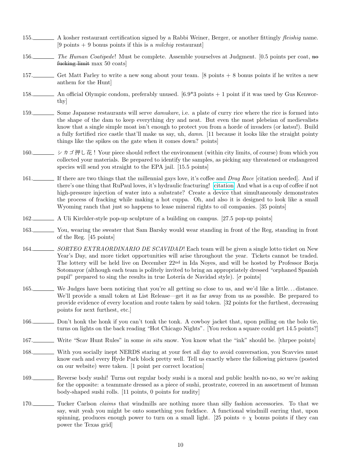- 155. A kosher restaurant certification signed by a Rabbi Weiner, Berger, or another fittingly *fleishig* name. [9 points  $+$  9 bonus points if this is a *milchig* restaurant]
- 156. The Human Coatipede! Must be complete. Assemble yourselves at Judgment. [0.5 points per coat, no fucking limit max 50 coats]
- 157. Get Matt Farley to write a new song about your team. [8 points + 8 bonus points if he writes a new anthem for the Hunt]
- 158. An official Olympic condom, preferably unused. [6.9\*3 points + 1 point if it was used by Gus Kenworthy]
- 159. Some Japanese restaurants will serve *damukare*, i.e. a plate of curry rice where the rice is formed into the shape of the dam to keep everything dry and neat. But even the most plebeian of medievalists know that a single simple moat isn't enough to protect you from a horde of invaders (or katsu!). Build a fully fortified rice castle that'll make us say, uh, damn. [11 because it looks like the straight pointy things like the spikes on the gate when it comes down? points]
- 160.  $\rightarrow$   $\forall$   $\pi$  if  $\mathbb{R}$ ! Your piece should reflect the environment (within city limits, of course) from which you collected your materials. Be prepared to identify the samples, as picking any threatened or endangered species will send you straight to the EPA jail. [15.5 points]
- 161. If there are two things that the millennial gays love, it's coffee and *Drag Race* [citation needed]. And if there's one thing that RuPaul loves, it's hydraulic fracturing! [\[citation\]](https://www.independent.co.uk/climate-change/news/ru-paul-fracking-ranch-drag-race-environment-a9407461.html) And what is a cup of coffee if not high-pressure injection of water into a substrate? Create a device that simultaneously demonstrates the process of fracking while making a hot cuppa. Oh, and also it is designed to look like a small Wyoming ranch that just so happens to lease mineral rights to oil companies. [35 points]
- 162. A Uli Kirchler-style pop-up sculpture of a building on campus. [27.5 pop-up points]
- 163. You, wearing the sweater that Sam Barsky would wear standing in front of the Reg, standing in front of the Reg. [45 points]
- 164. SORTEO EXTRAORDINARIO DE SCAVIDAD! Each team will be given a single lotto ticket on New Year's Day, and more ticket opportunities will arise throughout the year. Tickets cannot be traded. The lottery will be held live on December 22nd in Ida Noyes, and will be hosted by Professor Borja Sotomayor (although each team is politely invited to bring an appropriately dressed "orphaned Spanish pupil" prepared to sing the results in true Lotería de Navidad style). [ $\sigma$  points]
- 165. We Judges have been noticing that you're all getting so close to us, and we'd like a little... distance. We'll provide a small token at List Release—get it as far away from us as possible. Be prepared to provide evidence of every location and route taken by said token. [32 points for the furthest, decreasing points for next furthest, etc.]
- 166. Don't honk the honk if you can't tonk the tonk. A cowboy jacket that, upon pulling on the bolo tie, turns on lights on the back reading "Hot Chicago Nights". [You reckon a square could get 14.5 points?]
- 167. Write "Scav Hunt Rules" in some in situ snow. You know what the "ink" should be. [thrpee points]
- 168. With you socially inept NERDS staring at your feet all day to avoid conversation, you Scavvies must know each and every Hyde Park block pretty well. Tell us exactly where the following pictures (posted on our website) were taken. [1 point per correct location]
- 169. Reverse body sushi! Turns out regular body sushi is a moral and public health no-no, so we're asking for the opposite: a teammate dressed as a piece of sushi, prostrate, covered in an assortment of human body-shaped sushi rolls. [11 points, 0 points for nudity]
- 170. Tucker Carlson *claims* that windmills are nothing more than silly fashion accessories. To that we say, wait yeah you might be onto something you fuckface. A functional windmill earring that, upon spinning, produces enough power to turn on a small light. [25 points +  $\chi$  bonus points if they can power the Texas grid]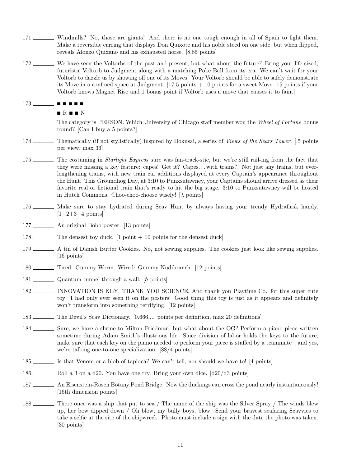- 171. Windmills? No, those are giants! And there is no one tough enough in all of Spain to fight them. Make a reversible earring that displays Don Quixote and his noble steed on one side, but when flipped, reveals Alonzo Quixano and his exhausted horse. [8.85 points]
- 172. We have seen the Voltorbs of the past and present, but what about the future? Bring your life-sized, futuristic Voltorb to Judgment along with a matching Poké Ball from its era. We can't wait for your Voltorb to dazzle us by showing off one of its Moves. Your Voltorb should be able to safely demonstrate its Move in a confined space at Judgment.  $[17.5 \text{ points} + 10 \text{ points}$  for a sweet Move. 15 points if your Voltorb knows Magnet Rise and 1 bonus point if Voltorb uses a move that causes it to faint]

### 173. ∎ ∎ ∎ ∎ ∎

### ∎ R ∎ ∎ N

The category is PERSON. Which University of Chicago staff member won the Wheel of Fortune bonus round? [Can I buy a 5 points?]

- 174. Thematically (if not stylistically) inspired by Hokusai, a series of *Views of the Sears Tower*. [.5 points per view, max 36]
- 175. The costuming in *Starlight Express* sure was fan-track-stic, but we're still rail-ing from the fact that they were missing a key feature: capes! Get it? Capes. . . with trains?! Not just any trains, but everlengthening trains, with new train car additions displayed at every Captain's appearance throughout the Hunt. This Groundhog Day, at 3:10 to Punxsutawney, your Captains should arrive dressed as their favorite real or fictional train that's ready to hit the big stage. 3:10 to Punxsutawney will be hosted in Hutch Commons. Choo-choo-choose wisely!  $[\lambda]$  points]
- 176. Make sure to stay hydrated during Scav Hunt by always having your trendy Hydraflask handy.  $[1+2+3+4 \text{ points}]$
- 177. An original Bobo poster. [13 points]
- 178. The densest toy duck. [1 point + 10 points for the densest duck]
- 179. A tin of Danish Butter Cookies. No, not sewing supplies. The cookies just look like sewing supplies. [16 points]
- 180. Tired: Gummy Worm. Wired: Gummy Nudibranch. [12 points]
- 181. Quantum tunnel through a wall. [h̵ points]
- 182. INNOVATION IS KEY, THANK YOU SCIENCE. And thank you Playtime Co. for this super cute toy! I had only ever seen it on the posters! Good thing this toy is just as it appears and definitely won't transform into something terrifying. [12 points]
- 183. The Devil's Scav Dictionary. [0.666.... points per definition, max 20 definitions]
- 184. Sure, we have a shrine to Milton Friedman, but what about the OG? Perform a piano piece written sometime during Adam Smith's illustrious life. Since division of labor holds the keys to the future, make sure that each key on the piano needed to perform your piece is staffed by a teammate—and yes, we're talking one-to-one specialization. [88/4 points]
- 185. Is that Venom or a blob of tapioca? We can't tell, nor should we have to! [4 points]
- 186. Roll a 3 on a d20. You have one try. Bring your own dice.  $\left[\frac{d20}{d3} \text{ points}\right]$
- 187. An Eisenstein-Rosen Botany Pond Bridge. Now the duckings can cross the pond nearly instantaneously! [16th dimension points]
- 188. There once was a ship that put to sea / The name of the ship was the Silver Spray / The winds blew up, her bow dipped down / Oh blow, my bully boys, blow. Send your bravest seafaring Scavvies to take a selfie at the site of the shipwreck. Photo must include a sign with the date the photo was taken. [30 points]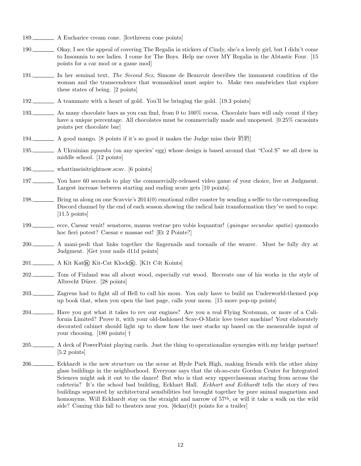- 189. A Eucharice cream cone. [Icethreem cone points]
- 190. Okay, I see the appeal of covering The Regalia in stickers of Cindy, she's a lovely girl, but I didn't come to Insomnia to see ladies. I come for The Boys. Help me cover MY Regalia in the Abtastic Four. [15 points for a car mod or a game mod]
- 191. In her seminal text, The Second Sex, Simone de Beauvoir describes the immanent condition of the woman and the transcendence that womankind must aspire to. Make two sandwiches that explore these states of being. [2 points]
- 192. A teammate with a heart of gold. You'll be bringing the gold. [19.3 points]
- 193. As many chocolate bars as you can find, from 0 to 100% cocoa. Chocolate bars will only count if they have a unique percentage. All chocolates must be commercially made and unopened.  $[0.25\%$  cacaoints points per chocolate bar]
- 194. A good mango. [8 points if it's so good it makes the Judge miss their 奶奶]
- 195. A Ukrainian *pysanka* (on any species' egg) whose design is based around that "Cool S" we all drew in middle school. [12 points]
- 196. whattimeisitrightnow.scav. [6 points]
- 197. You have 60 seconds to play the commercially-released video game of your choice, live at Judgment. Largest increase between starting and ending score gets [10 points].
- 198. Bring us along on one Scavvie's 2014(0) emotional roller coaster by sending a selfie to the corresponding Discord channel by the end of each season showing the radical hair transformation they've used to cope. [11.5 points]
- 199. ecce, Caesar venit! senatores, manus vestrae pro vobis loquantur! (quinque secundae spatio) quomodo hoc fieri potest? Caesar e massae est! [Et 2 Pointe?]
- 200. A mani-pedi that links together the fingernails and toenails of the wearer. Must be fully dry at Judgment. [Get your nails d11d points]
- 201. A Kit Kat $\mathbb R$  Kit-Cat Klock $\mathbb R$ . [K1t C4t Koints]
- 202. Tom of Finland was all about wood, especially cut wood. Recreate one of his works in the style of Albrecht Dürer. [28 points]
- 203. Zagreus had to fight all of Hell to call his mom. You only have to build an Underworld-themed pop up book that, when you open the last page, calls your mom. [15 more pop-up points]
- 204. Have you got what it takes to rev our engines? Are you a real Flying Scotsman, or more of a California Limited? Prove it, with your old-fashioned Scav-O-Matic love tester machine! Your elaborately decorated cabinet should light up to show how the user stacks up based on the measurable input of your choosing. [180 points]
- 205. A deck of PowerPoint playing cards. Just the thing to operationalize synergies with my bridge partner! [5.2 points]
- 206. Eckhardt is the new structure on the scene at Hyde Park High, making friends with the other shiny glass buildings in the neighborhood. Everyone says that the oh-so-cute Gordon Center for Integrated Sciences might ask it out to the dance! But who is that sexy upperclassman staring from across the cafeteria? It's the school bad building, Eckhart Hall. Eckhart and Eckhardt tells the story of two buildings separated by architectural sensibilities but brought together by pure animal magnetism and homonyms. Will Eckhardt stay on the straight and narrow of 57<sup>th</sup>, or will it take a walk on the wild side? Coming this fall to theaters near you.  $[6ckar(d)t]$  points for a trailer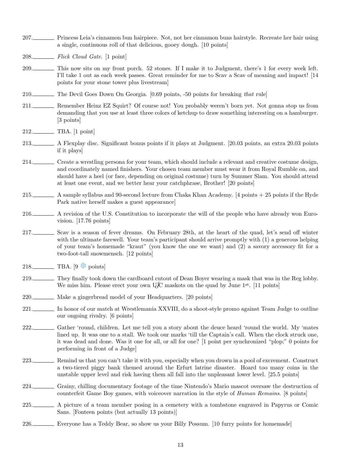- 207. Princess Leia's cinnamon bun hairpiece. Not, not her cinnamon buns hairstyle. Recreate her hair using a single, continuous roll of that delicious, gooey dough. [10 points]
- 208. Flick Cloud Gate. [1 point]
- 209. This now sits on my front porch. 52 stones. If I make it to Judgment, there's 1 for every week left. I'll take 1 out as each week passes. Great reminder for me to Scav a Scav of meaning and impact! [14 points for your stone tower plus livestream]
- 210. The Devil Goes Down On Georgia. [0.69 points, -50 points for breaking that rule]
- 211. Remember Heinz EZ Squirt? Of course not! You probably weren't born yet. Not gonna stop us from demanding that you use at least three colors of ketchup to draw something interesting on a hamburger. [3 points]
- 212. TBA. [1 point]
- 213. A Flexplay disc. Significant bonus points if it plays at Judgment. [20.03 points, an extra 20.03 points if it plays]
- 214. Create a wrestling persona for your team, which should include a relevant and creative costume design, and coordinately named finishers. Your chosen team member must wear it from Royal Rumble on, and should have a heel (or face, depending on original costume) turn by Summer Slam. You should attend at least one event, and we better hear your catchphrase, Brother! [20 points]
- 215. A sample syllabus and 90-second lecture from Chaka Khan Academy. [4 points + 25 points if the Hyde Park native herself makes a guest appearance]
- 216. A revision of the U.S. Constitution to incorporate the will of the people who have already won Eurovision. [17.76 points]
- 217. Scav is a season of fever dreams. On February 28th, at the heart of the quad, let's send off winter with the ultimate farewell. Your team's participant should arrive promptly with (1) a generous helping of your team's homemade "kraut" (you know the one we want) and (2) a savory accessory fit for a two-foot-tall snowmensch. [12 points]
- 218. TBA.  $[9 \times \text{points}]$
- 219. They finally took down the cardboard cutout of Dean Boyer wearing a mask that was in the Reg lobby. We miss him. Please erect your own  $U_0$ <sup>f</sup>C maskots on the quad by June 1<sup>st</sup>. [11 points]
- 220. Make a gingerbread model of your Headquarters. [20 points]
- 221. In honor of our match at Wrestlemania XXVIII, do a shoot-style promo against Team Judge to outline our ongoing rivalry. [6 points]
- 222. Gather 'round, children. Let me tell you a story about the deuce heard 'round the world. My 'mates lined up. It was one to a stall. We took our marks 'till the Captain's call. When the clock struck one, it was dead and done. Was it one for all, or all for one? [1 point per synchronized "plop;" 0 points for performing in front of a Judge]
- 223. Remind us that you can't take it with you, especially when you drown in a pool of excrement. Construct a two-tiered piggy bank themed around the Erfurt latrine disaster. Hoard too many coins in the unstable upper level and risk having them all fall into the unpleasant lower level. [25.5 points]
- 224. Grainy, chilling documentary footage of the time Nintendo's Mario mascot oversaw the destruction of counterfeit Game Boy games, with voiceover narration in the style of Human Remains. [8 points]
- 225. A picture of a team member posing in a cemetery with a tombstone engraved in Papyrus or Comic Sans. [Fonteen points (but actually 13 points)]
- 226. Everyone has a Teddy Bear, so show us your Billy Possum. [10 furry points for homemade]